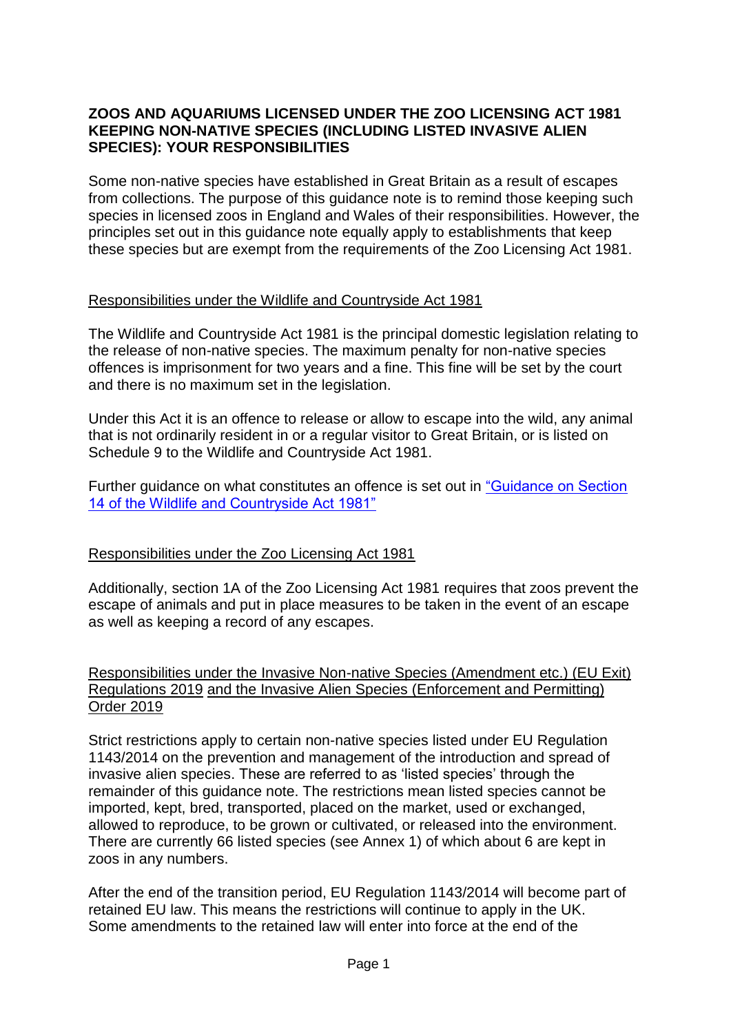### **ZOOS AND AQUARIUMS LICENSED UNDER THE ZOO LICENSING ACT 1981 KEEPING NON-NATIVE SPECIES (INCLUDING LISTED INVASIVE ALIEN SPECIES): YOUR RESPONSIBILITIES**

Some non-native species have established in Great Britain as a result of escapes from collections. The purpose of this guidance note is to remind those keeping such species in licensed zoos in England and Wales of their responsibilities. However, the principles set out in this guidance note equally apply to establishments that keep these species but are exempt from the requirements of the Zoo Licensing Act 1981.

### Responsibilities under the Wildlife and Countryside Act 1981

The Wildlife and Countryside Act 1981 is the principal domestic legislation relating to the release of non-native species. The maximum penalty for non-native species offences is imprisonment for two years and a fine. This fine will be set by the court and there is no maximum set in the legislation.

Under this Act it is an offence to release or allow to escape into the wild, any animal that is not ordinarily resident in or a regular visitor to Great Britain, or is listed on Schedule 9 to the Wildlife and Countryside Act 1981.

Further guidance on what constitutes an offence is set out in ["Guidance on Section](https://www.gov.uk/government/uploads/system/uploads/attachment_data/file/69205/wildlife-countryside-act.pdf)  [14 of the Wildlife and Countryside Act 1981"](https://www.gov.uk/government/uploads/system/uploads/attachment_data/file/69205/wildlife-countryside-act.pdf)

## Responsibilities under the Zoo Licensing Act 1981

Additionally, section 1A of the Zoo Licensing Act 1981 requires that zoos prevent the escape of animals and put in place measures to be taken in the event of an escape as well as keeping a record of any escapes.

Responsibilities under [the Invasive Non-native Species \(Amendment etc.\) \(EU Exit\)](https://eur01.safelinks.protection.outlook.com/?url=https%3A%2F%2Fwww.legislation.gov.uk%2Fukdsi%2F2019%2F9780111176269%2Fcontents&data=04%7C01%7CLeasa.Fielding%40gov.wales%7C92d0a42e93964f31052a08d8858239f1%7Ca2cc36c592804ae78887d06dab89216b%7C0%7C0%7C637406141661391279%7CUnknown%7CTWFpbGZsb3d8eyJWIjoiMC4wLjAwMDAiLCJQIjoiV2luMzIiLCJBTiI6Ik1haWwiLCJXVCI6Mn0%3D%7C1000&sdata=T7LfDJ8VTEsDZeKEQmgpWKv4raAy1j%2FLhTPHESz4Izg%3D&reserved=0)  [Regulations 2019](https://eur01.safelinks.protection.outlook.com/?url=https%3A%2F%2Fwww.legislation.gov.uk%2Fukdsi%2F2019%2F9780111176269%2Fcontents&data=04%7C01%7CLeasa.Fielding%40gov.wales%7C92d0a42e93964f31052a08d8858239f1%7Ca2cc36c592804ae78887d06dab89216b%7C0%7C0%7C637406141661391279%7CUnknown%7CTWFpbGZsb3d8eyJWIjoiMC4wLjAwMDAiLCJQIjoiV2luMzIiLCJBTiI6Ik1haWwiLCJXVCI6Mn0%3D%7C1000&sdata=T7LfDJ8VTEsDZeKEQmgpWKv4raAy1j%2FLhTPHESz4Izg%3D&reserved=0) and the Invasive Alien Species (Enforcement and Permitting) Order 2019

Strict restrictions apply to certain non-native species listed under EU Regulation 1143/2014 on the prevention and management of the introduction and spread of invasive alien species. These are referred to as 'listed species' through the remainder of this guidance note. The restrictions mean listed species cannot be imported, kept, bred, transported, placed on the market, used or exchanged, allowed to reproduce, to be grown or cultivated, or released into the environment. There are currently 66 listed species (see Annex 1) of which about 6 are kept in zoos in any numbers.

After the end of the transition period, EU Regulation 1143/2014 will become part of retained EU law. This means the restrictions will continue to apply in the UK. Some amendments to the retained law will enter into force at the end of the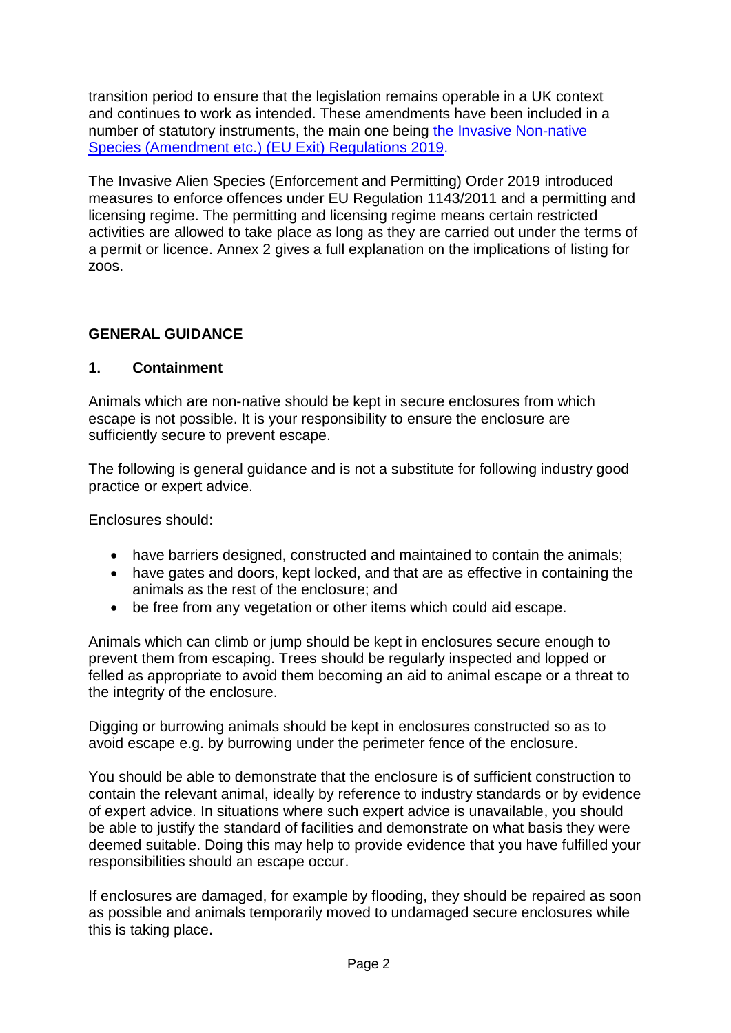transition period to ensure that the legislation remains operable in a UK context and continues to work as intended. These amendments have been included in a number of statutory instruments, the main one being [the Invasive Non-native](https://eur01.safelinks.protection.outlook.com/?url=https%3A%2F%2Fwww.legislation.gov.uk%2Fukdsi%2F2019%2F9780111176269%2Fcontents&data=04%7C01%7CLeasa.Fielding%40gov.wales%7C92d0a42e93964f31052a08d8858239f1%7Ca2cc36c592804ae78887d06dab89216b%7C0%7C0%7C637406141661391279%7CUnknown%7CTWFpbGZsb3d8eyJWIjoiMC4wLjAwMDAiLCJQIjoiV2luMzIiLCJBTiI6Ik1haWwiLCJXVCI6Mn0%3D%7C1000&sdata=T7LfDJ8VTEsDZeKEQmgpWKv4raAy1j%2FLhTPHESz4Izg%3D&reserved=0)  [Species \(Amendment etc.\) \(EU Exit\) Regulations 2019.](https://eur01.safelinks.protection.outlook.com/?url=https%3A%2F%2Fwww.legislation.gov.uk%2Fukdsi%2F2019%2F9780111176269%2Fcontents&data=04%7C01%7CLeasa.Fielding%40gov.wales%7C92d0a42e93964f31052a08d8858239f1%7Ca2cc36c592804ae78887d06dab89216b%7C0%7C0%7C637406141661391279%7CUnknown%7CTWFpbGZsb3d8eyJWIjoiMC4wLjAwMDAiLCJQIjoiV2luMzIiLCJBTiI6Ik1haWwiLCJXVCI6Mn0%3D%7C1000&sdata=T7LfDJ8VTEsDZeKEQmgpWKv4raAy1j%2FLhTPHESz4Izg%3D&reserved=0)

The Invasive Alien Species (Enforcement and Permitting) Order 2019 introduced measures to enforce offences under EU Regulation 1143/2011 and a permitting and licensing regime. The permitting and licensing regime means certain restricted activities are allowed to take place as long as they are carried out under the terms of a permit or licence. Annex 2 gives a full explanation on the implications of listing for zoos.

## **GENERAL GUIDANCE**

## **1. Containment**

Animals which are non-native should be kept in secure enclosures from which escape is not possible. It is your responsibility to ensure the enclosure are sufficiently secure to prevent escape.

The following is general guidance and is not a substitute for following industry good practice or expert advice.

Enclosures should:

- have barriers designed, constructed and maintained to contain the animals;
- have gates and doors, kept locked, and that are as effective in containing the animals as the rest of the enclosure; and
- be free from any vegetation or other items which could aid escape.

Animals which can climb or jump should be kept in enclosures secure enough to prevent them from escaping. Trees should be regularly inspected and lopped or felled as appropriate to avoid them becoming an aid to animal escape or a threat to the integrity of the enclosure.

Digging or burrowing animals should be kept in enclosures constructed so as to avoid escape e.g. by burrowing under the perimeter fence of the enclosure.

You should be able to demonstrate that the enclosure is of sufficient construction to contain the relevant animal, ideally by reference to industry standards or by evidence of expert advice. In situations where such expert advice is unavailable, you should be able to justify the standard of facilities and demonstrate on what basis they were deemed suitable. Doing this may help to provide evidence that you have fulfilled your responsibilities should an escape occur.

If enclosures are damaged, for example by flooding, they should be repaired as soon as possible and animals temporarily moved to undamaged secure enclosures while this is taking place.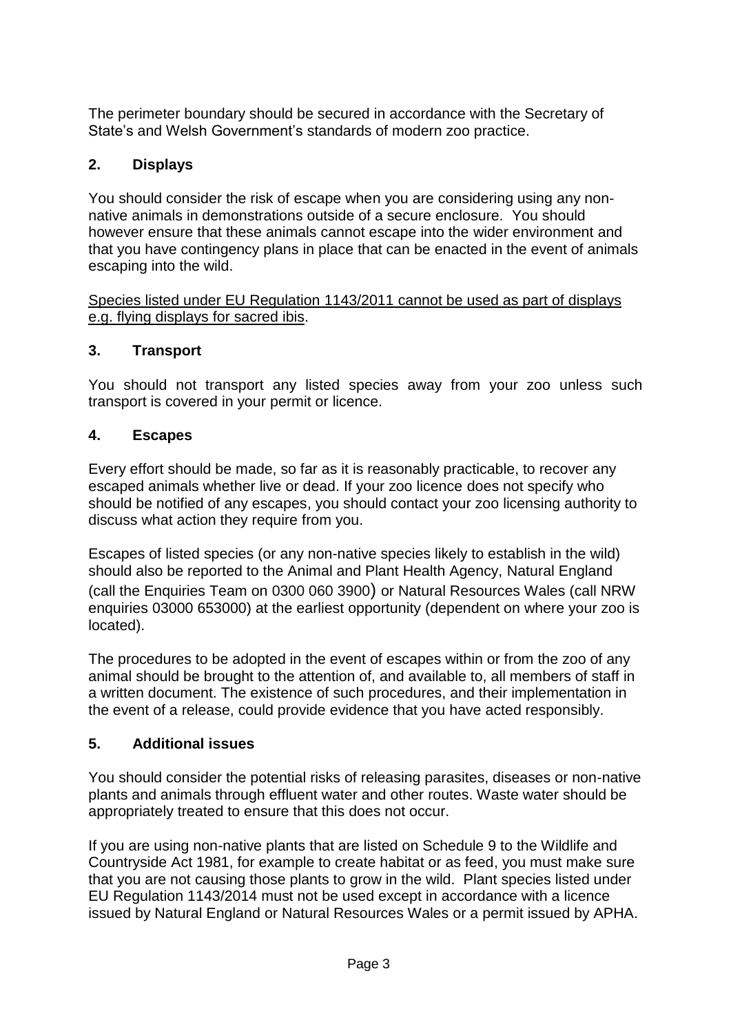The perimeter boundary should be secured in accordance with the Secretary of State's and Welsh Government's standards of modern zoo practice.

# **2. Displays**

You should consider the risk of escape when you are considering using any nonnative animals in demonstrations outside of a secure enclosure. You should however ensure that these animals cannot escape into the wider environment and that you have contingency plans in place that can be enacted in the event of animals escaping into the wild.

Species listed under EU Regulation 1143/2011 cannot be used as part of displays e.g. flying displays for sacred ibis.

# **3. Transport**

You should not transport any listed species away from your zoo unless such transport is covered in your permit or licence.

## **4. Escapes**

Every effort should be made, so far as it is reasonably practicable, to recover any escaped animals whether live or dead. If your zoo licence does not specify who should be notified of any escapes, you should contact your zoo licensing authority to discuss what action they require from you.

Escapes of listed species (or any non-native species likely to establish in the wild) should also be reported to the Animal and Plant Health Agency, Natural England (call the Enquiries Team on 0300 060 3900) or Natural Resources Wales (call NRW enquiries 03000 653000) at the earliest opportunity (dependent on where your zoo is located).

The procedures to be adopted in the event of escapes within or from the zoo of any animal should be brought to the attention of, and available to, all members of staff in a written document. The existence of such procedures, and their implementation in the event of a release, could provide evidence that you have acted responsibly.

# **5. Additional issues**

You should consider the potential risks of releasing parasites, diseases or non-native plants and animals through effluent water and other routes. Waste water should be appropriately treated to ensure that this does not occur.

If you are using non-native plants that are listed on Schedule 9 to the Wildlife and Countryside Act 1981, for example to create habitat or as feed, you must make sure that you are not causing those plants to grow in the wild. Plant species listed under EU Regulation 1143/2014 must not be used except in accordance with a licence issued by Natural England or Natural Resources Wales or a permit issued by APHA.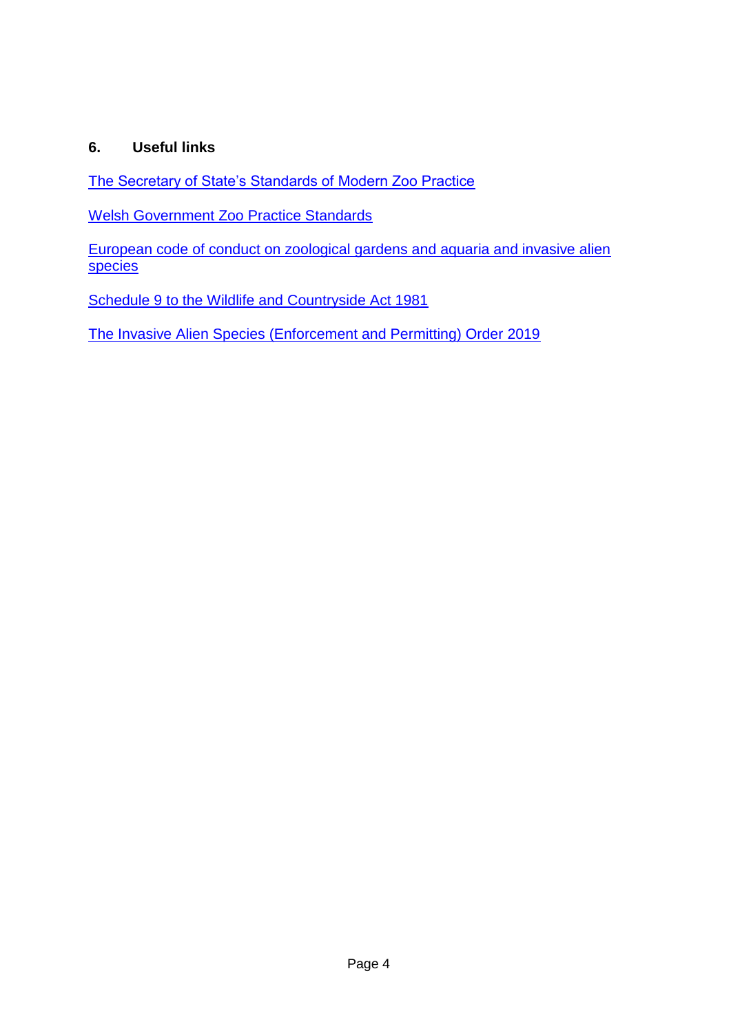## **6. Useful links**

[The Secretary of State's Standards of Modern Zoo Practice](https://www.gov.uk/government/publications/secretary-of-state-s-standards-of-modern-zoo-practice)

[Welsh Government Zoo Practice Standards](https://gov.wales/zoo-practice-standards)

[European code of conduct on zoological gardens and aquaria and invasive alien](https://wcd.coe.int/com.instranet.InstraServlet?command=com.instranet.CmdBlobGet&InstranetImage=2176840&SecMode=1&DocId=1943806&Usage=2)  [species](https://wcd.coe.int/com.instranet.InstraServlet?command=com.instranet.CmdBlobGet&InstranetImage=2176840&SecMode=1&DocId=1943806&Usage=2)

[Schedule 9 to the Wildlife and Countryside Act 1981](http://www.legislation.gov.uk/ukpga/1981/69/schedule/9)

[The Invasive Alien Species \(Enforcement and Permitting\) Order 2019](http://www.legislation.gov.uk/uksi/2019/527/contents/made)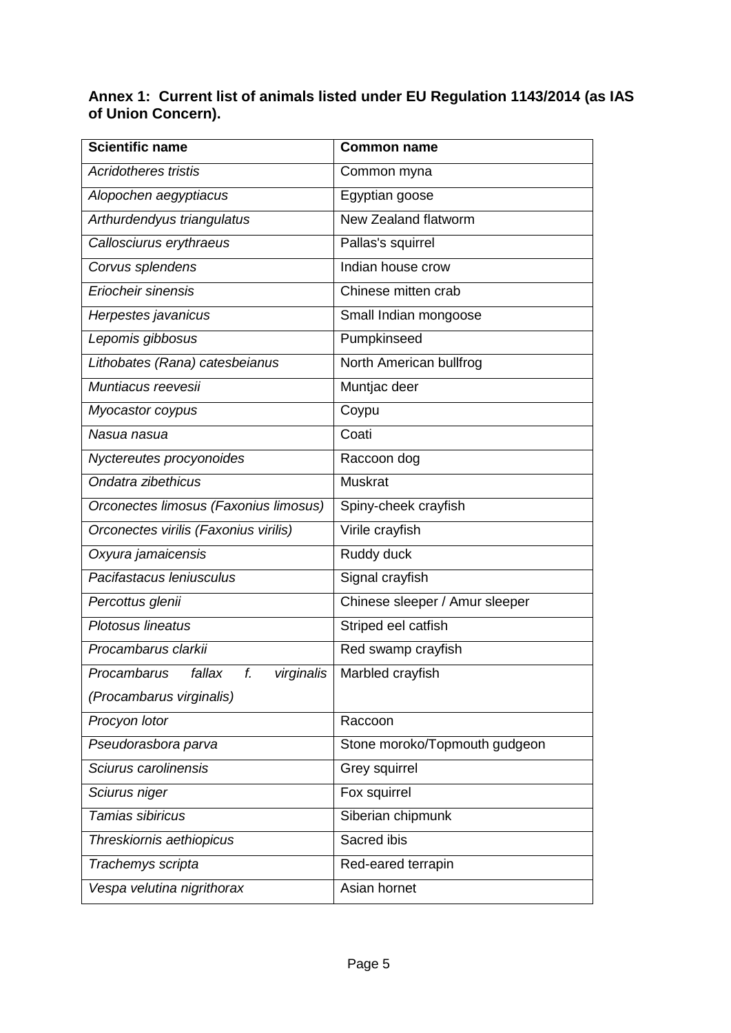### **Annex 1: Current list of animals listed under EU Regulation 1143/2014 (as IAS of Union Concern).**

| <b>Scientific name</b>                    | <b>Common name</b>             |
|-------------------------------------------|--------------------------------|
| <b>Acridotheres tristis</b>               | Common myna                    |
| Alopochen aegyptiacus                     | Egyptian goose                 |
| Arthurdendyus triangulatus                | New Zealand flatworm           |
| Callosciurus erythraeus                   | Pallas's squirrel              |
| Corvus splendens                          | Indian house crow              |
| Eriocheir sinensis                        | Chinese mitten crab            |
| Herpestes javanicus                       | Small Indian mongoose          |
| Lepomis gibbosus                          | Pumpkinseed                    |
| Lithobates (Rana) catesbeianus            | North American bullfrog        |
| Muntiacus reevesii                        | Muntjac deer                   |
| Myocastor coypus                          | Coypu                          |
| Nasua nasua                               | Coati                          |
| Nyctereutes procyonoides                  | Raccoon dog                    |
| Ondatra zibethicus                        | <b>Muskrat</b>                 |
| Orconectes limosus (Faxonius limosus)     | Spiny-cheek crayfish           |
| Orconectes virilis (Faxonius virilis)     | Virile crayfish                |
| Oxyura jamaicensis                        | Ruddy duck                     |
| Pacifastacus Ieniusculus                  | Signal crayfish                |
| Percottus glenii                          | Chinese sleeper / Amur sleeper |
| Plotosus lineatus                         | Striped eel catfish            |
| Procambarus clarkii                       | Red swamp crayfish             |
| fallax<br>f.<br>Procambarus<br>virginalis | Marbled crayfish               |
| (Procambarus virginalis)                  |                                |
| Procyon lotor                             | Raccoon                        |
| Pseudorasbora parva                       | Stone moroko/Topmouth gudgeon  |
| Sciurus carolinensis                      | Grey squirrel                  |
| Sciurus niger                             | Fox squirrel                   |
| Tamias sibiricus                          | Siberian chipmunk              |
| Threskiornis aethiopicus                  | Sacred ibis                    |
| Trachemys scripta                         | Red-eared terrapin             |
| Vespa velutina nigrithorax                | Asian hornet                   |